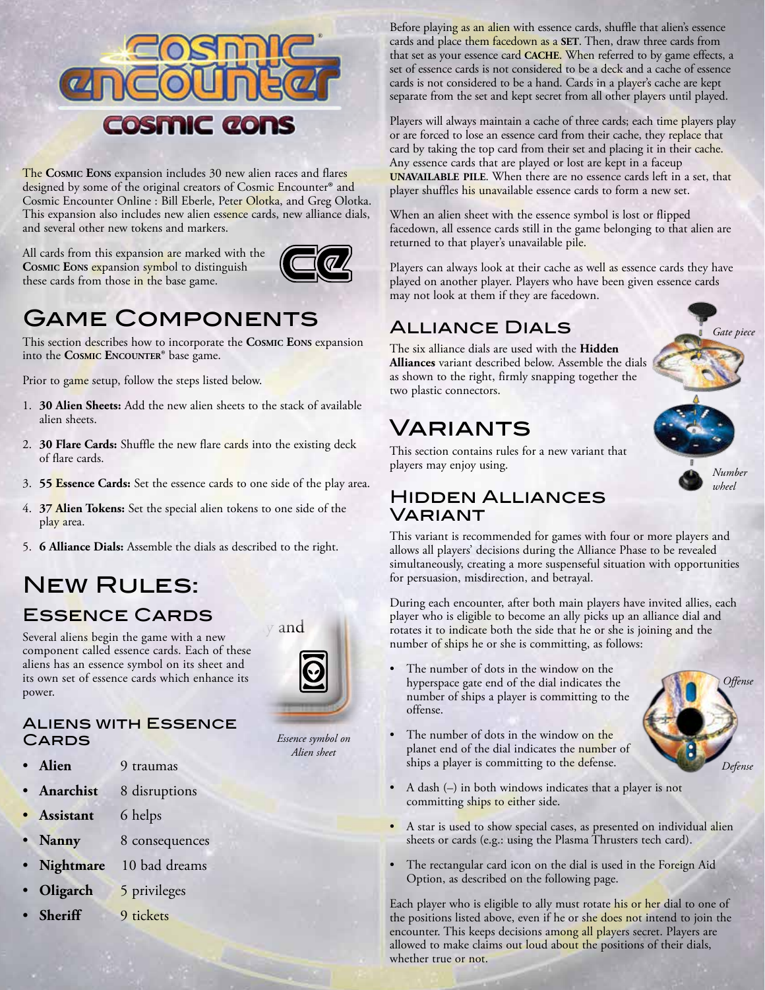

The **Cosmic Eons** expansion includes 30 new alien races and flares designed by some of the original creators of Cosmic Encounter® and Cosmic Encounter Online : Bill Eberle, Peter Olotka, and Greg Olotka. This expansion also includes new alien essence cards, new alliance dials, and several other new tokens and markers. and several other new tokens and markers.

All cards from this expansion are marked with the **Cosmic Eons** expansion symbol to distinguish **EXAMPLE CONSEQUENCES** SYMBOT to CONSEQUENCE these cards from those in the base game.



## **GAME COMPONENTS**

This section describes how to incorporate the COSMIC EONS expansion into the **COSMIC ENCOUNTER<sup>®</sup>** base game.

Prior to game setup, follow the steps listed below.

- 1. **30 Alien Sheets:** Add the new alien sheets to the stack of available alien sheets. player does not reveal a negotiate carry out the punishment and leave the punishment and leave the punishment and leave the punishment and leave the punishment and leave the punishment and leave the punishment and leave th
- 2. **30 Flare Cards:** Shuffle the new flare cards into the existing deck of flare cards.  $2.3<sup>°</sup>$
- 3. **55 Essence Cards:** Set the essence cards to one side of the play area. with other players with the essence cannot form
- 4. **37 Alien Tokens:** Set the special alien tokens to one side of the pla**y** area. play area.  $t$  the defense draws defense draws destiny and  $t$  the end of the timeout, the player of the player of the player of the player of the player of the player of the player of the player of the player of the player of the p
- 5. **6 Alliance Dials:** Assemble the dials as described to the right.

# **NEW RULES:**

# **ESSENCE CARDS**





*Essence symbol on Alien sheet*

#### Aliens with Essence **CARDS CARDS** Essence symbol

- **Alien** 9 traumas
- • **Anarchist** 8 disruptions **Start Anarchist** 8 disruptions
	- **Assistant** 6 helps
	- **Nanny** 8 consequences
	- Nightmare 10 bad dreams
	- **Oligarch 5** privileges
	- **Sheriff** 9 tickets
- 

Before playing as an alien with essence cards, shuffle that alien's essence cards and place them facedown as a **set**. Then, draw three cards from that set as your essence card **cache**. When referred to by game effects, a set of essence cards is not considered to be a deck and a cache of essence cards is not considered to be a hand. Cards in a player's cache are kept separate from the set and kept secret from all other players until played.

Players will always maintain a cache of three cards; each time players play or are forced to lose an essence card from their cache, they replace that card by taking the top card from their set and placing it in their cache. Any essence cards that are played or lost are kept in a faceup **unavailable pile**. When there are no essence cards left in a set, that player shuffles his unavailable essence cards to form a new set.

When an alien sheet with the essence symbol is lost or flipped facedown, all essence cards still in the game belonging to that alien are returned to that player's unavailable pile.

Players can always look at their cache as well as essence cards they have played on another player. Players who have been given essence cards may not look at them if they are facedown.

### Alliance Dials

The six alliance dials are used with the **Hidden Alliances** variant described below. Assemble the dials as shown to the right, firmly snapping together the two plastic connectors.

# Variants

This section contains rules for a new variant that players may enjoy using.



*Gate piece*

*Number wheel*

Hidden Alliances Variant

This variant is recommended for games with four or more players and allows all players' decisions during the Alliance Phase to be revealed simultaneously, creating a more suspenseful situation with opportunities for persuasion, misdirection, and betrayal.

During each encounter, after both main players have invited allies, each player who is eligible to become an ally picks up an alliance dial and rotates it to indicate both the side that he or she is joining and the number of ships he or she is committing, as follows:

The number of dots in the window on the hyperspace gate end of the dial indicates the number of ships a player is committing to the offense.



- The number of dots in the window on the planet end of the dial indicates the number of ships a player is committing to the defense.
- A dash (-) in both windows indicates that a player is not committing ships to either side.
- A star is used to show special cases, as presented on individual alien sheets or cards (e.g.: using the Plasma Thrusters tech card).
- The rectangular card icon on the dial is used in the Foreign Aid Option, as described on the following page.

Each player who is eligible to ally must rotate his or her dial to one of the positions listed above, even if he or she does not intend to join the encounter. This keeps decisions among all players secret. Players are allowed to make claims out loud about the positions of their dials, whether true or not.